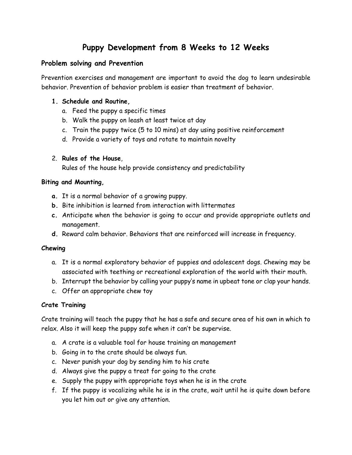# **Puppy Development from 8 Weeks to 12 Weeks**

# **Problem solving and Prevention**

Prevention exercises and management are important to avoid the dog to learn undesirable behavior. Prevention of behavior problem is easier than treatment of behavior.

## **1. Schedule and Routine,**

- a. Feed the puppy a specific times
- b. Walk the puppy on leash at least twice at day
- c. Train the puppy twice (5 to 10 mins) at day using positive reinforcement
- d. Provide a variety of toys and rotate to maintain novelty

## 2. **Rules of the House**,

Rules of the house help provide consistency and predictability

## **Biting and Mounting,**

- **a.** It is a normal behavior of a growing puppy.
- **b.** Bite inhibition is learned from interaction with littermates
- **c.** Anticipate when the behavior is going to occur and provide appropriate outlets and management.
- **d.** Reward calm behavior. Behaviors that are reinforced will increase in frequency.

## **Chewing**

- a. It is a normal exploratory behavior of puppies and adolescent dogs. Chewing may be associated with teething or recreational exploration of the world with their mouth.
- b. Interrupt the behavior by calling your puppy's name in upbeat tone or clap your hands.
- c. Offer an appropriate chew toy

# **Crate Training**

Crate training will teach the puppy that he has a safe and secure area of his own in which to relax. Also it will keep the puppy safe when it can't be supervise.

- a. A crate is a valuable tool for house training an management
- b. Going in to the crate should be always fun.
- c. Never punish your dog by sending him to his crate
- d. Always give the puppy a treat for going to the crate
- e. Supply the puppy with appropriate toys when he is in the crate
- f. If the puppy is vocalizing while he is in the crate, wait until he is quite down before you let him out or give any attention.